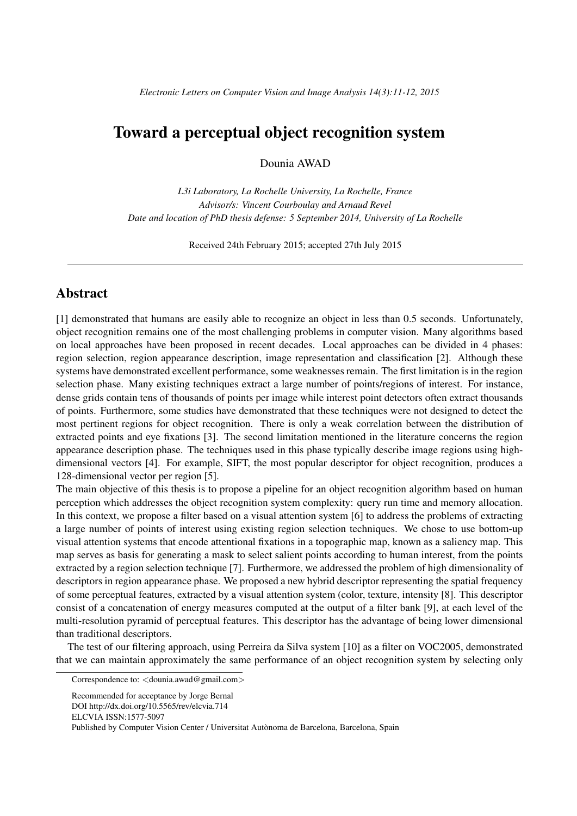## Toward a perceptual object recognition system

Dounia AWAD

*L3i Laboratory, La Rochelle University, La Rochelle, France Advisor/s: Vincent Courboulay and Arnaud Revel Date and location of PhD thesis defense: 5 September 2014, University of La Rochelle*

Received 24th February 2015; accepted 27th July 2015

## **Abstract**

[1] demonstrated that humans are easily able to recognize an object in less than 0.5 seconds. Unfortunately, object recognition remains one of the most challenging problems in computer vision. Many algorithms based on local approaches have been proposed in recent decades. Local approaches can be divided in 4 phases: region selection, region appearance description, image representation and classification [2]. Although these systems have demonstrated excellent performance, some weaknesses remain. The first limitation is in the region selection phase. Many existing techniques extract a large number of points/regions of interest. For instance, dense grids contain tens of thousands of points per image while interest point detectors often extract thousands of points. Furthermore, some studies have demonstrated that these techniques were not designed to detect the most pertinent regions for object recognition. There is only a weak correlation between the distribution of extracted points and eye fixations [3]. The second limitation mentioned in the literature concerns the region appearance description phase. The techniques used in this phase typically describe image regions using highdimensional vectors [4]. For example, SIFT, the most popular descriptor for object recognition, produces a 128-dimensional vector per region [5].

The main objective of this thesis is to propose a pipeline for an object recognition algorithm based on human perception which addresses the object recognition system complexity: query run time and memory allocation. In this context, we propose a filter based on a visual attention system [6] to address the problems of extracting a large number of points of interest using existing region selection techniques. We chose to use bottom-up visual attention systems that encode attentional fixations in a topographic map, known as a saliency map. This map serves as basis for generating a mask to select salient points according to human interest, from the points extracted by a region selection technique [7]. Furthermore, we addressed the problem of high dimensionality of descriptors in region appearance phase. We proposed a new hybrid descriptor representing the spatial frequency of some perceptual features, extracted by a visual attention system (color, texture, intensity [8]. This descriptor consist of a concatenation of energy measures computed at the output of a filter bank [9], at each level of the multi-resolution pyramid of perceptual features. This descriptor has the advantage of being lower dimensional than traditional descriptors.

The test of our filtering approach, using Perreira da Silva system [10] as a filter on VOC2005, demonstrated that we can maintain approximately the same performance of an object recognition system by selecting only

Correspondence to: *<*dounia.awad@gmail.com*>*

Recommended for acceptance by Jorge Bernal DOI http://dx.doi.org/10.5565/rev/elcvia.714 ELCVIA ISSN:1577-5097

Published by Computer Vision Center / Universitat Autònoma de Barcelona, Barcelona, Spain